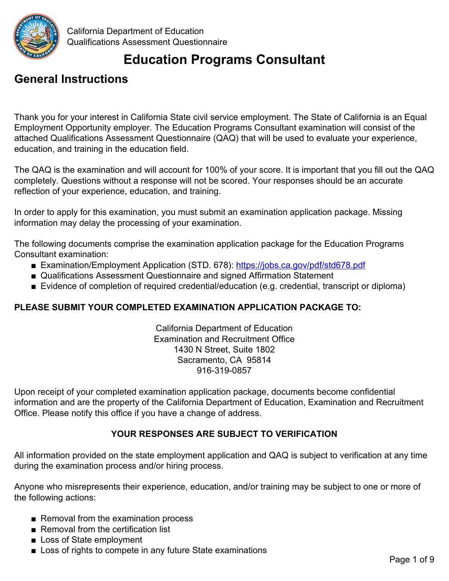

# **Education Programs Consultant**

## **General Instructions**

Thank you for your interest in California State civil service employment. The State of California is an Equal Employment Opportunity employer. The Education Programs Consultant examination will consist of the attached Qualifications Assessment Questionnaire (QAQ) that will be used to evaluate your experience, education, and training in the education field.

The QAQ is the examination and will account for 100% of your score. It is important that you fill out the QAQ completely. Questions without a response will not be scored. Your responses should be an accurate reflection of your experience, education, and training.

In order to apply for this examination, you must submit an examination application package. Missing information may delay the processing of your examination.

The following documents comprise the examination application package for the Education Programs Consultant examination:

- Examination/Employment Application (STD. 678): https://jobs.ca.gov/pdf/std678.pdf
- Qualifications Assessment Questionnaire and signed Affirmation Statement
- Evidence of completion of required credential/education (e.g. credential, transcript or diploma)

#### **PLEASE SUBMIT YOUR COMPLETED EXAMINATION APPLICATION PACKAGE TO:**

California Department of Education Examination and Recruitment Office 1430 N Street, Suite 1802 Sacramento, CA 95814 916-319-0857

Upon receipt of your completed examination application package, documents become confidential information and are the property of the California Department of Education, Examination and Recruitment Office. Please notify this office if you have a change of address.

#### **YOUR RESPONSES ARE SUBJECT TO VERIFICATION**

All information provided on the state employment application and QAQ is subject to verification at any time during the examination process and/or hiring process.

Anyone who misrepresents their experience, education, and/or training may be subject to one or more of the following actions:

- Removal from the examination process
- Removal from the certification list
- Loss of State employment
- Loss of rights to compete in any future State examinations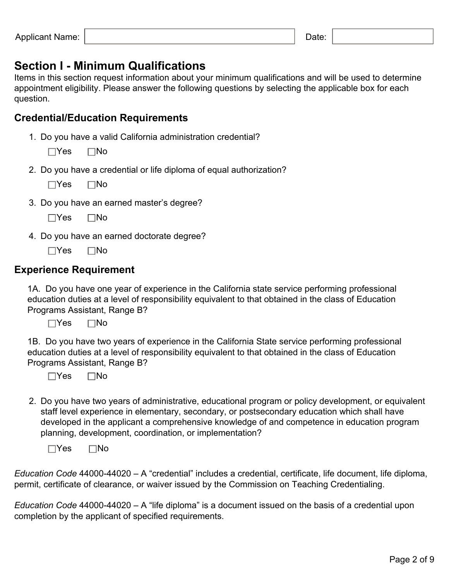### **Section I - Minimum Qualifications**

Items in this section request information about your minimum qualifications and will be used to determine appointment eligibility. Please answer the following questions by selecting the applicable box for each question.

### **Credential/Education Requirements**

1. Do you have a valid California administration credential?

 $\Box$ Yes  $\Box$ No

2. Do you have a credential or life diploma of equal authorization?

| Yes | 1No |
|-----|-----|
|-----|-----|

3. Do you have an earned master's degree?

| Yes | 1No |
|-----|-----|
|-----|-----|

4. Do you have an earned doctorate degree?

 $\Box$ Yes  $\Box$ No

#### **Experience Requirement**

1A. Do you have one year of experience in the California state service performing professional education duties at a level of responsibility equivalent to that obtained in the class of Education Programs Assistant, Range B?

 $\Box$ Yes  $\Box$ No

1B. Do you have two years of experience in the California State service performing professional education duties at a level of responsibility equivalent to that obtained in the class of Education Programs Assistant, Range B?

 $\Box$ Yes  $\Box$ No

2. Do you have two years of administrative, educational program or policy development, or equivalent staff level experience in elementary, secondary, or postsecondary education which shall have developed in the applicant a comprehensive knowledge of and competence in education program planning, development, coordination, or implementation?

 $\Box$ Yes  $\Box$ No

*Education Code* 44000-44020 – A "credential" includes a credential, certificate, life document, life diploma, permit, certificate of clearance, or waiver issued by the Commission on Teaching Credentialing.

*Education Code* 44000-44020 – A "life diploma" is a document issued on the basis of a credential upon completion by the applicant of specified requirements.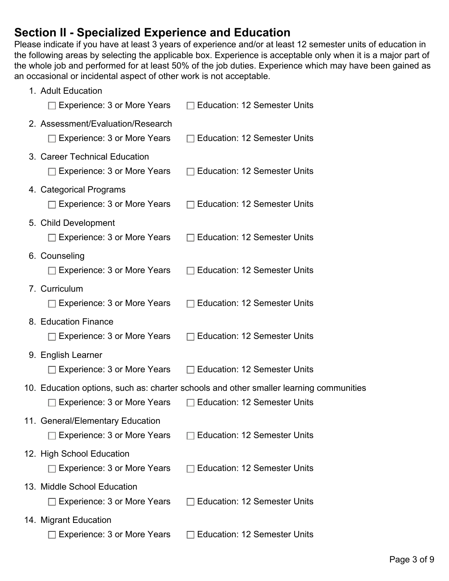### **Section II - Specialized Experience and Education**

Please indicate if you have at least 3 years of experience and/or at least 12 semester units of education in the following areas by selecting the applicable box. Experience is acceptable only when it is a major part of the whole job and performed for at least 50% of the job duties. Experience which may have been gained as an occasional or incidental aspect of other work is not acceptable.

| 1. Adult Education<br>Experience: 3 or More Years               | <b>Education: 12 Semester Units</b>                                                    |
|-----------------------------------------------------------------|----------------------------------------------------------------------------------------|
| 2. Assessment/Evaluation/Research                               |                                                                                        |
| $\Box$ Experience: 3 or More Years                              | <b>Education: 12 Semester Units</b>                                                    |
| 3. Career Technical Education                                   |                                                                                        |
| $\Box$ Experience: 3 or More Years                              | <b>Education: 12 Semester Units</b>                                                    |
| 4. Categorical Programs<br>□ Experience: 3 or More Years        | <b>Education: 12 Semester Units</b>                                                    |
| 5. Child Development                                            |                                                                                        |
| Experience: 3 or More Years                                     | <b>Education: 12 Semester Units</b>                                                    |
| 6. Counseling<br>$\Box$ Experience: 3 or More Years             | <b>Education: 12 Semester Units</b>                                                    |
| 7. Curriculum                                                   |                                                                                        |
| $\Box$ Experience: 3 or More Years                              | <b>Education: 12 Semester Units</b>                                                    |
| 8. Education Finance<br>$\Box$ Experience: 3 or More Years      | <b>Education: 12 Semester Units</b>                                                    |
|                                                                 |                                                                                        |
| 9. English Learner<br>Experience: 3 or More Years               | <b>Education: 12 Semester Units</b>                                                    |
|                                                                 | 10. Education options, such as: charter schools and other smaller learning communities |
| Experience: 3 or More Years                                     | <b>Education: 12 Semester Units</b>                                                    |
| 11. General/Elementary Education                                |                                                                                        |
| Experience: 3 or More Years                                     | <b>Education: 12 Semester Units</b>                                                    |
| 12. High School Education<br>$\Box$ Experience: 3 or More Years | <b>Education: 12 Semester Units</b>                                                    |
|                                                                 |                                                                                        |
| 13. Middle School Education<br>Experience: 3 or More Years      | <b>Education: 12 Semester Units</b>                                                    |
| 14. Migrant Education                                           |                                                                                        |
| Experience: 3 or More Years                                     | <b>Education: 12 Semester Units</b>                                                    |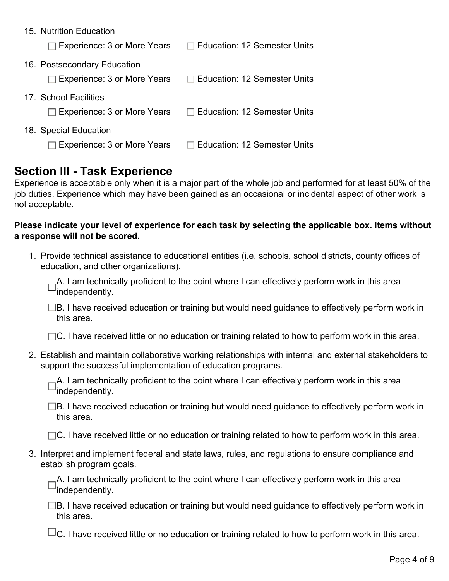| 15. Nutrition Education            |                                     |
|------------------------------------|-------------------------------------|
| $\Box$ Experience: 3 or More Years | $\Box$ Education: 12 Semester Units |
| 16. Postsecondary Education        |                                     |
| $\Box$ Experience: 3 or More Years | $\Box$ Education: 12 Semester Units |
| 17 School Facilities               |                                     |
| $\Box$ Experience: 3 or More Years | $\Box$ Education: 12 Semester Units |
| 18. Special Education              |                                     |
| Experience: 3 or More Years        | □ Education: 12 Semester Units      |

### **Section III - Task Experience**

Experience is acceptable only when it is a major part of the whole job and performed for at least 50% of the job duties. Experience which may have been gained as an occasional or incidental aspect of other work is not acceptable.

#### **Please indicate your level of experience for each task by selecting the applicable box. Items without a response will not be scored.**

1. Provide technical assistance to educational entities (i.e. schools, school districts, county offices of education, and other organizations).

A. I am technically proficient to the point where I can effectively perform work in this area  $\Box'$ independently.

 $\square$ B. I have received education or training but would need guidance to effectively perform work in this area.

 $\Box$ C. I have received little or no education or training related to how to perform work in this area.

2. Establish and maintain collaborative working relationships with internal and external stakeholders to support the successful implementation of education programs.

A. I am technically proficient to the point where I can effectively perform work in this area  $^{\text{-}}$ independently.

 $\square$ B. I have received education or training but would need guidance to effectively perform work in this area.

 $\Box$ C. I have received little or no education or training related to how to perform work in this area.

3. Interpret and implement federal and state laws, rules, and regulations to ensure compliance and establish program goals.

A. I am technically proficient to the point where I can effectively perform work in this area  $^\sqcup$ independentlv.

 $\square$ B. I have received education or training but would need guidance to effectively perform work in this area.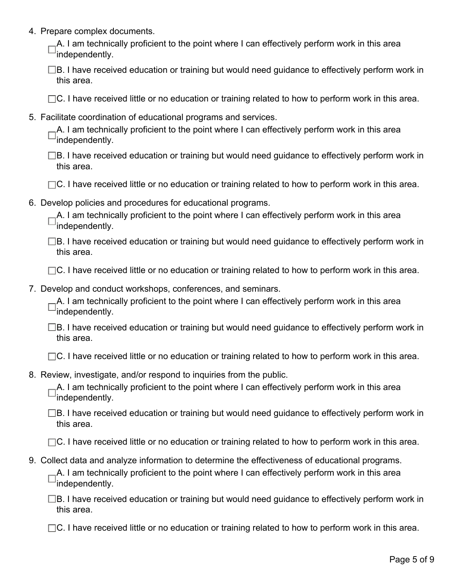4. Prepare complex documents.

A. I am technically proficient to the point where I can effectively perform work in this area independently.

- $\square$ B. I have received education or training but would need guidance to effectively perform work in this area.
- $\Box$ C. I have received little or no education or training related to how to perform work in this area.
- 5. Facilitate coordination of educational programs and services.

|                       | $-A$ . I am technically proficient to the point where I can effectively perform work in this area |  |  |  |
|-----------------------|---------------------------------------------------------------------------------------------------|--|--|--|
| $\Box$ independently. |                                                                                                   |  |  |  |

- $\square$ B. I have received education or training but would need guidance to effectively perform work in this area.
- $\Box$ C. I have received little or no education or training related to how to perform work in this area.
- 6. Develop policies and procedures for educational programs.

| $-A$ . I am technically proficient to the point where I can effectively perform work in this area |  |  |  |
|---------------------------------------------------------------------------------------------------|--|--|--|
| $\Box$ independently.                                                                             |  |  |  |

 $\square$ B. I have received education or training but would need guidance to effectively perform work in this area.

 $\Box$ C. I have received little or no education or training related to how to perform work in this area.

7. Develop and conduct workshops, conferences, and seminars.

<sub>-</sub>A. I am technically proficient to the point where I can effectively perform work in this area  $^\sqcup$ independentlv.

|            | $\Box$ B. I have received education or training but would need guidance to effectively perform work in |  |  |
|------------|--------------------------------------------------------------------------------------------------------|--|--|
| this area. |                                                                                                        |  |  |

 $\Box$ C. I have received little or no education or training related to how to perform work in this area.

8. Review, investigate, and/or respond to inquiries from the public.

A. I am technically proficient to the point where I can effectively perform work in this area independently.

 $\square$ B. I have received education or training but would need guidance to effectively perform work in this area.

 $\Box$ C. I have received little or no education or training related to how to perform work in this area.

9. Collect data and analyze information to determine the effectiveness of educational programs. A. I am technically proficient to the point where I can effectively perform work in this area  $^{\text{J}}$ independently.

 $\square$ B. I have received education or training but would need guidance to effectively perform work in this area.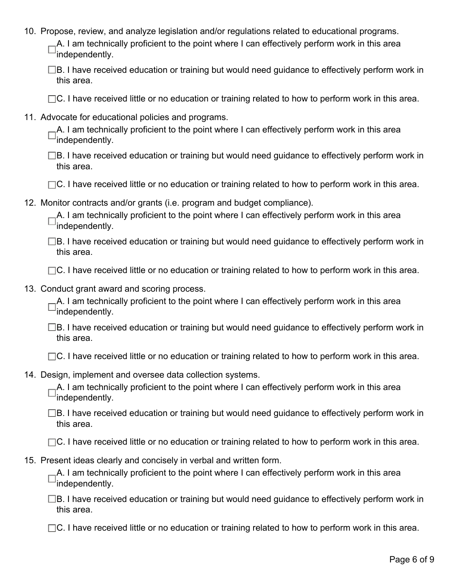- 10. Propose, review, and analyze legislation and/or regulations related to educational programs. A. I am technically proficient to the point where I can effectively perform work in this area independently.
	- $\square$ B. I have received education or training but would need guidance to effectively perform work in this area.
	- $\Box$ C. I have received little or no education or training related to how to perform work in this area.
- 11. Advocate for educational policies and programs.

| $-A$ . I am technically proficient to the point where I can effectively perform work in this area |  |  |  |
|---------------------------------------------------------------------------------------------------|--|--|--|
| $\Box$ independently.                                                                             |  |  |  |

- $\square$ B. I have received education or training but would need guidance to effectively perform work in this area.
- $\Box$ C. I have received little or no education or training related to how to perform work in this area.
- 12. Monitor contracts and/or grants (i.e. program and budget compliance).

| $-A$ . I am technically proficient to the point where I can effectively perform work in this area |  |  |  |
|---------------------------------------------------------------------------------------------------|--|--|--|
| $\Box$ independently.                                                                             |  |  |  |

 $\square$ B. I have received education or training but would need guidance to effectively perform work in this area.

- $\Box$ C. I have received little or no education or training related to how to perform work in this area.
- 13. Conduct grant award and scoring process.

A. I am technically proficient to the point where I can effectively perform work in this area  $\square$ independently.

- $\square$ B. I have received education or training but would need guidance to effectively perform work in this area.
- $\Box$ C. I have received little or no education or training related to how to perform work in this area.
- 14. Design, implement and oversee data collection systems.

A. I am technically proficient to the point where I can effectively perform work in this area independently.

 $\square$ B. I have received education or training but would need guidance to effectively perform work in this area.

 $\Box$ C. I have received little or no education or training related to how to perform work in this area.

15. Present ideas clearly and concisely in verbal and written form.

A. I am technically proficient to the point where I can effectively perform work in this area  $^{\text{-}}$ independently.

 $\square$ B. I have received education or training but would need guidance to effectively perform work in this area.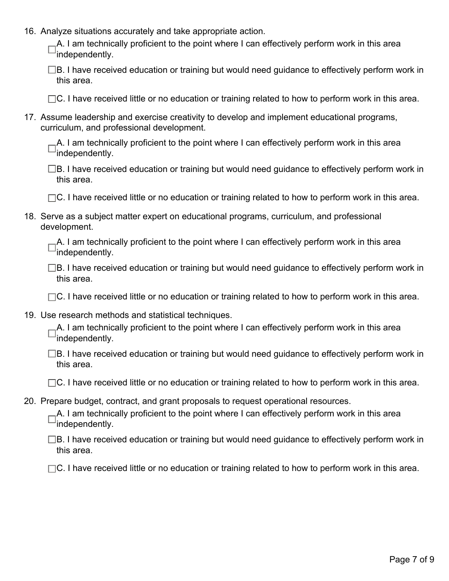16. Analyze situations accurately and take appropriate action.

A. I am technically proficient to the point where I can effectively perform work in this area independently.

| $\Box$ B. I have received education or training but would need guidance to effectively perform work in |  |
|--------------------------------------------------------------------------------------------------------|--|
| this area.                                                                                             |  |

 $\Box$ C. I have received little or no education or training related to how to perform work in this area.

17. Assume leadership and exercise creativity to develop and implement educational programs, curriculum, and professional development.

A. I am technically proficient to the point where I can effectively perform work in this area independently.

□B. I have received education or training but would need guidance to effectively perform work in this area.

 $\Box$ C. I have received little or no education or training related to how to perform work in this area.

18. Serve as a subject matter expert on educational programs, curriculum, and professional development.

| $-A$ . I am technically proficient to the point where I can effectively perform work in this area |  |  |  |
|---------------------------------------------------------------------------------------------------|--|--|--|
| $\Box$ independently.                                                                             |  |  |  |

 $\square$ B. I have received education or training but would need guidance to effectively perform work in this area.

- $\Box$ C. I have received little or no education or training related to how to perform work in this area.
- 19. Use research methods and statistical techniques.

A. I am technically proficient to the point where I can effectively perform work in this area independently.

B. I have received education or training but would need guidance to effectively perform work in this area.

 $\Box$ C. I have received little or no education or training related to how to perform work in this area.

20. Prepare budget, contract, and grant proposals to request operational resources.

<sub>-</sub>A. I am technically proficient to the point where I can effectively perform work in this area independently.

 $\Box$ B. I have received education or training but would need guidance to effectively perform work in this area.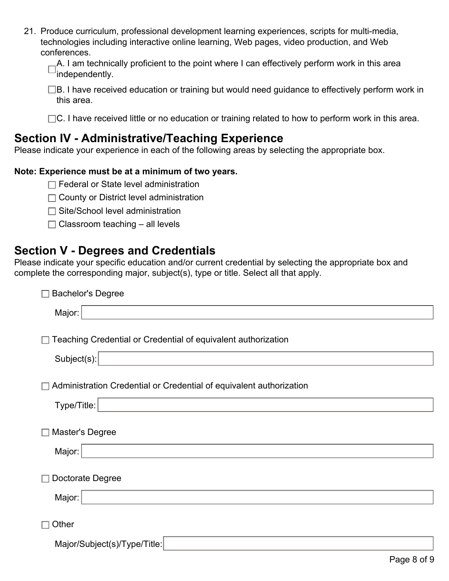| 21. Produce curriculum, professional development learning experiences, scripts for multi-media, |
|-------------------------------------------------------------------------------------------------|
| technologies including interactive online learning, Web pages, video production, and Web        |
| conferences.                                                                                    |

| $-A$ . I am technically proficient to the point where I can effectively perform work in this area |  |  |  |
|---------------------------------------------------------------------------------------------------|--|--|--|
| $\Box$ independently.                                                                             |  |  |  |

□B. I have received education or training but would need guidance to effectively perform work in this area.

 $\Box$ C. I have received little or no education or training related to how to perform work in this area.

### **Section IV - Administrative/Teaching Experience**

Please indicate your experience in each of the following areas by selecting the appropriate box.

#### **Note: Experience must be at a minimum of two years.**

| $\Box$ Federal or State level administration |  |
|----------------------------------------------|--|
|----------------------------------------------|--|

- □ County or District level administration
- $\Box$  Site/School level administration
- $\Box$  Classroom teaching  $-$  all levels

### **Section V - Degrees and Credentials**

Please indicate your specific education and/or current credential by selecting the appropriate box and complete the corresponding major, subject(s), type or title. Select all that apply.

| <b>Bachelor's Degree</b>                                            |  |  |  |  |
|---------------------------------------------------------------------|--|--|--|--|
| Major:                                                              |  |  |  |  |
|                                                                     |  |  |  |  |
| Teaching Credential or Credential of equivalent authorization       |  |  |  |  |
| Subject(s):                                                         |  |  |  |  |
|                                                                     |  |  |  |  |
| Administration Credential or Credential of equivalent authorization |  |  |  |  |
| Type/Title:                                                         |  |  |  |  |
| Master's Degree                                                     |  |  |  |  |
|                                                                     |  |  |  |  |
| Major:                                                              |  |  |  |  |
| Doctorate Degree                                                    |  |  |  |  |
| Major:                                                              |  |  |  |  |
|                                                                     |  |  |  |  |
| Other                                                               |  |  |  |  |
| Major/Subject(s)/Type/Title:                                        |  |  |  |  |